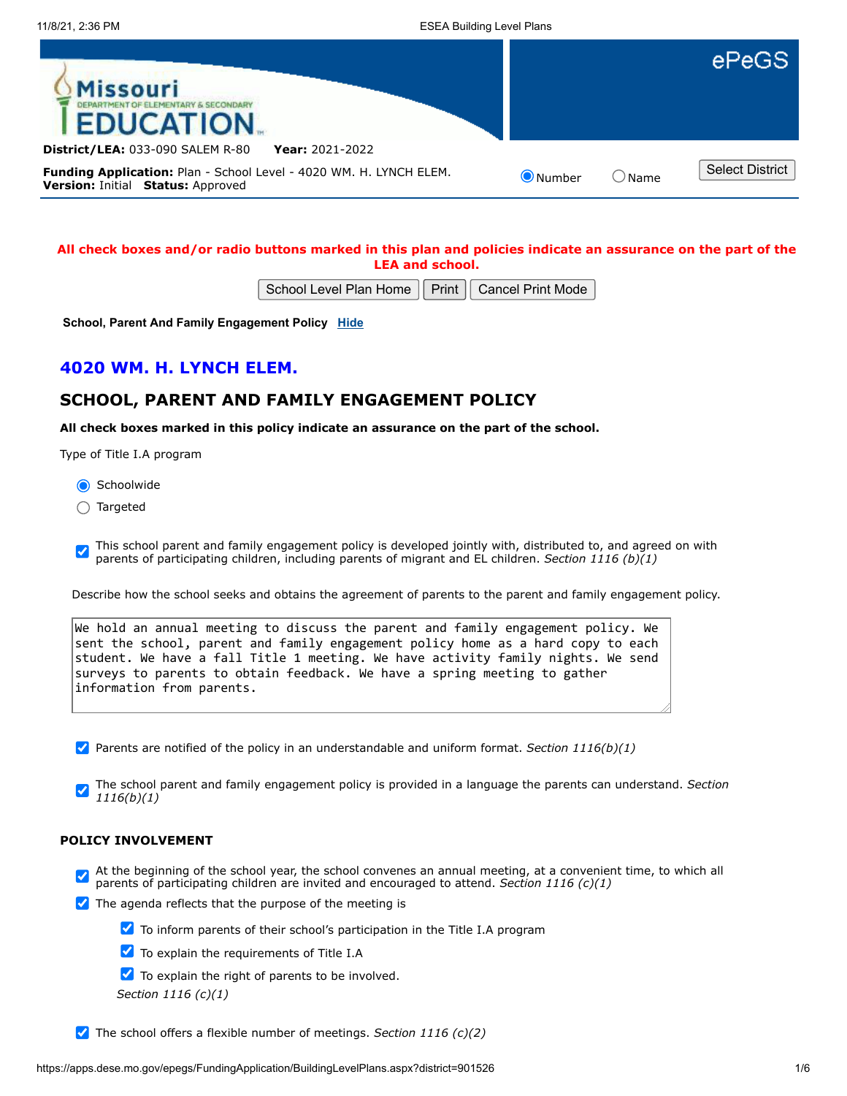| <b>Missouri</b><br><b>EDUCATION</b>                                                                     |                |        | ePeGS                  |
|---------------------------------------------------------------------------------------------------------|----------------|--------|------------------------|
| District/LEA: 033-090 SALEM R-80<br>Year: 2021-2022                                                     |                |        |                        |
| Funding Application: Plan - School Level - 4020 WM. H. LYNCH ELEM.<br>Version: Initial Status: Approved | $\odot$ Number | ) Name | <b>Select District</b> |

## **All check boxes and/or radio buttons marked in this plan and policies indicate an assurance on the part of the LEA and school.**

School Level Plan Home | Print | Cancel Print Mode

**School, Parent And Family Engagement Policy [Hide](javascript:__doPostBack()**

# **4020 WM. H. LYNCH ELEM.**

## **SCHOOL, PARENT AND FAMILY ENGAGEMENT POLICY**

**All check boxes marked in this policy indicate an assurance on the part of the school.**

Type of Title I.A program

Schoolwide

 $\bigcap$  Targeted

This school parent and family engagement policy is developed jointly with, distributed to, and agreed on with  $\blacktriangledown$ parents of participating children, including parents of migrant and EL children. *Section 1116 (b)(1)*

Describe how the school seeks and obtains the agreement of parents to the parent and family engagement policy.

| We hold an annual meeting to discuss the parent and family engagement policy. We |
|----------------------------------------------------------------------------------|
| sent the school, parent and family engagement policy home as a hard copy to each |
| student. We have a fall Title 1 meeting. We have activity family nights. We send |
|                                                                                  |
|                                                                                  |
|                                                                                  |

Parents are notified of the policy in an understandable and uniform format. *Section 1116(b)(1)*

The school parent and family engagement policy is provided in a language the parents can understand. *Section 1116(b)(1)*

## **POLICY INVOLVEMENT**

- At the beginning of the school year, the school convenes an annual meeting, at a convenient time, to which all  $\blacktriangledown$ parents of participating children are invited and encouraged to attend. *Section 1116 (c)(1)*
- $\vee$  The agenda reflects that the purpose of the meeting is
	- **V** To inform parents of their school's participation in the Title I.A program
	- To explain the requirements of Title I.A
	- $\blacksquare$  To explain the right of parents to be involved.

*Section 1116 (c)(1)*

The school offers a flexible number of meetings. *Section 1116 (c)(2)*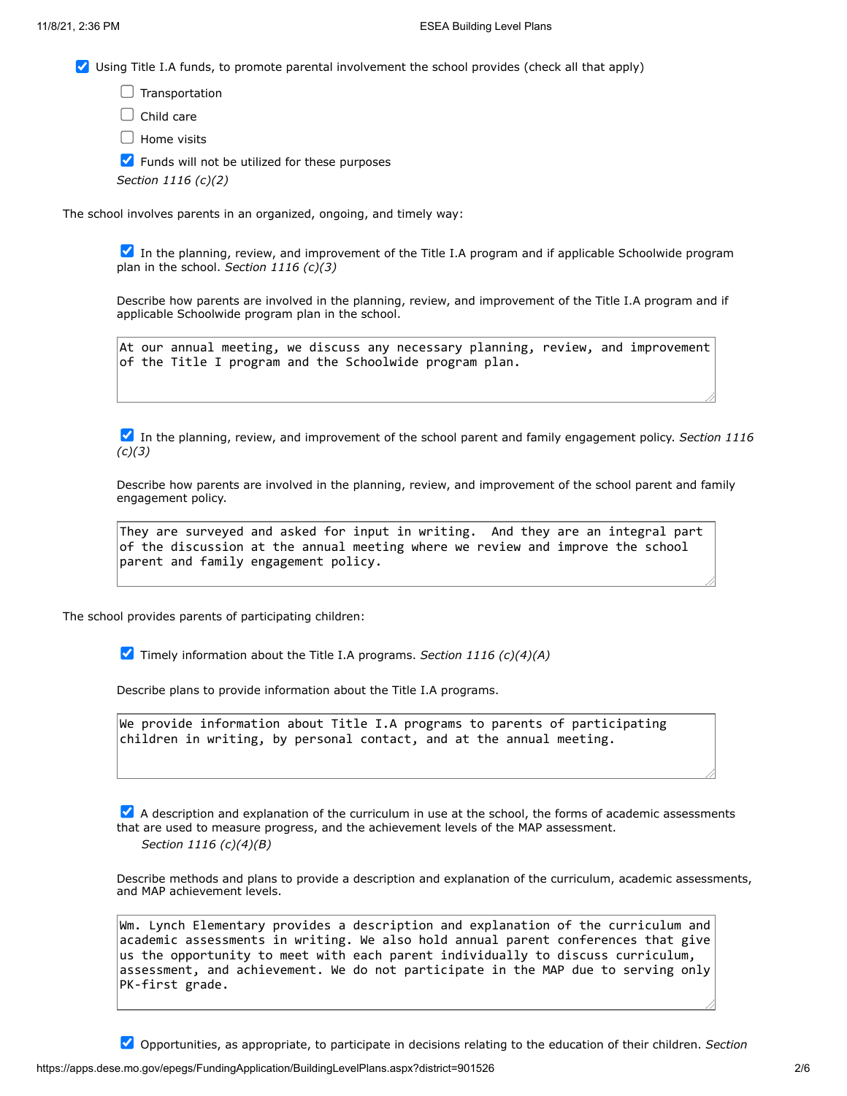Using Title I.A funds, to promote parental involvement the school provides (check all that apply)

 $\Box$  Transportation

 $\Box$  Child care

 $\Box$  Home visits

**S** Funds will not be utilized for these purposes

*Section 1116 (c)(2)*

The school involves parents in an organized, ongoing, and timely way:

In the planning, review, and improvement of the Title I.A program and if applicable Schoolwide program plan in the school. *Section 1116 (c)(3)*

Describe how parents are involved in the planning, review, and improvement of the Title I.A program and if applicable Schoolwide program plan in the school.

At our annual meeting, we discuss any necessary planning, review, and improvement of the Title I program and the Schoolwide program plan.

In the planning, review, and improvement of the school parent and family engagement policy. *Section 1116 (c)(3)*

Describe how parents are involved in the planning, review, and improvement of the school parent and family engagement policy.

They are surveyed and asked for input in writing. And they are an integral part of the discussion at the annual meeting where we review and improve the school parent and family engagement policy.

The school provides parents of participating children:

Timely information about the Title I.A programs. *Section 1116 (c)(4)(A)*

Describe plans to provide information about the Title I.A programs.

|  | We provide information about Title I.A programs to parents of participating |  |  |  |  |  |  |
|--|-----------------------------------------------------------------------------|--|--|--|--|--|--|
|  | children in writing, by personal contact, and at the annual meeting.        |  |  |  |  |  |  |

 $\blacktriangleright$  A description and explanation of the curriculum in use at the school, the forms of academic assessments that are used to measure progress, and the achievement levels of the MAP assessment. *Section 1116 (c)(4)(B)*

Describe methods and plans to provide a description and explanation of the curriculum, academic assessments, and MAP achievement levels.

Wm. Lynch Elementary provides a description and explanation of the curriculum and academic assessments in writing. We also hold annual parent conferences that give us the opportunity to meet with each parent individually to discuss curriculum, assessment, and achievement. We do not participate in the MAP due to serving only PK-first grade.

Opportunities, as appropriate, to participate in decisions relating to the education of their children. *Section*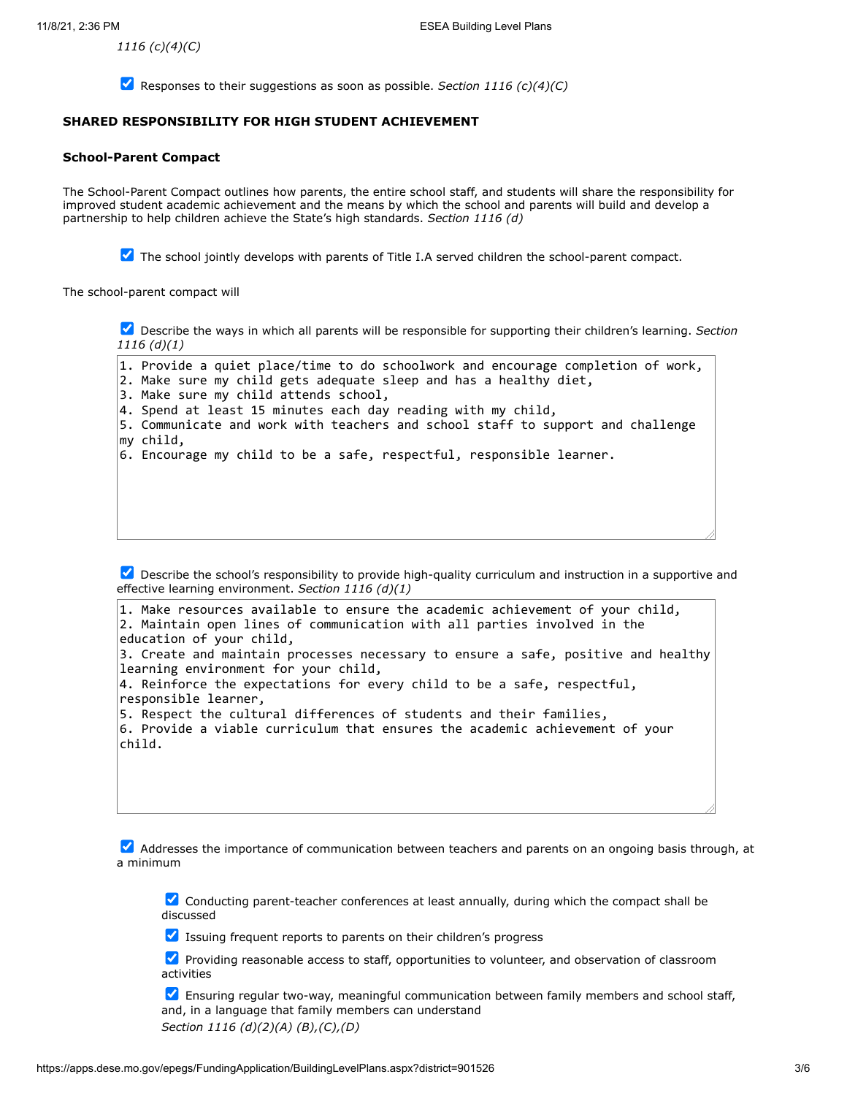*1116 (c)(4)(C)*

Responses to their suggestions as soon as possible. *Section 1116 (c)(4)(C)*

#### **SHARED RESPONSIBILITY FOR HIGH STUDENT ACHIEVEMENT**

#### **School-Parent Compact**

The School-Parent Compact outlines how parents, the entire school staff, and students will share the responsibility for improved student academic achievement and the means by which the school and parents will build and develop a partnership to help children achieve the State's high standards. *Section 1116 (d)*

The school jointly develops with parents of Title I.A served children the school-parent compact.

The school-parent compact will

Describe the ways in which all parents will be responsible for supporting their children's learning. *Section 1116 (d)(1)*

1. Provide a quiet place/time to do schoolwork and encourage completion of work, 2. Make sure my child gets adequate sleep and has a healthy diet, 3. Make sure my child attends school, 4. Spend at least 15 minutes each day reading with my child, 5. Communicate and work with teachers and school staff to support and challenge my child,  $|6.$  Encourage my child to be a safe, respectful, responsible learner.

Describe the school's responsibility to provide high-quality curriculum and instruction in a supportive and effective learning environment. *Section 1116 (d)(1)*

1. Make resources available to ensure the academic achievement of your child, 2. Maintain open lines of communication with all parties involved in the education of your child, 3. Create and maintain processes necessary to ensure a safe, positive and healthy learning environment for your child, 4. Reinforce the expectations for every child to be a safe, respectful, responsible learner, 5. Respect the cultural differences of students and their families, 6. Provide a viable curriculum that ensures the academic achievement of your child.

 $\blacktriangleright$  Addresses the importance of communication between teachers and parents on an ongoing basis through, at a minimum

 $\vee$  Conducting parent-teacher conferences at least annually, during which the compact shall be discussed

 $\blacksquare$  Issuing frequent reports to parents on their children's progress

**V** Providing reasonable access to staff, opportunities to volunteer, and observation of classroom activities

 $\blacktriangledown$  Ensuring regular two-way, meaningful communication between family members and school staff, and, in a language that family members can understand *Section 1116 (d)(2)(A) (B),(C),(D)*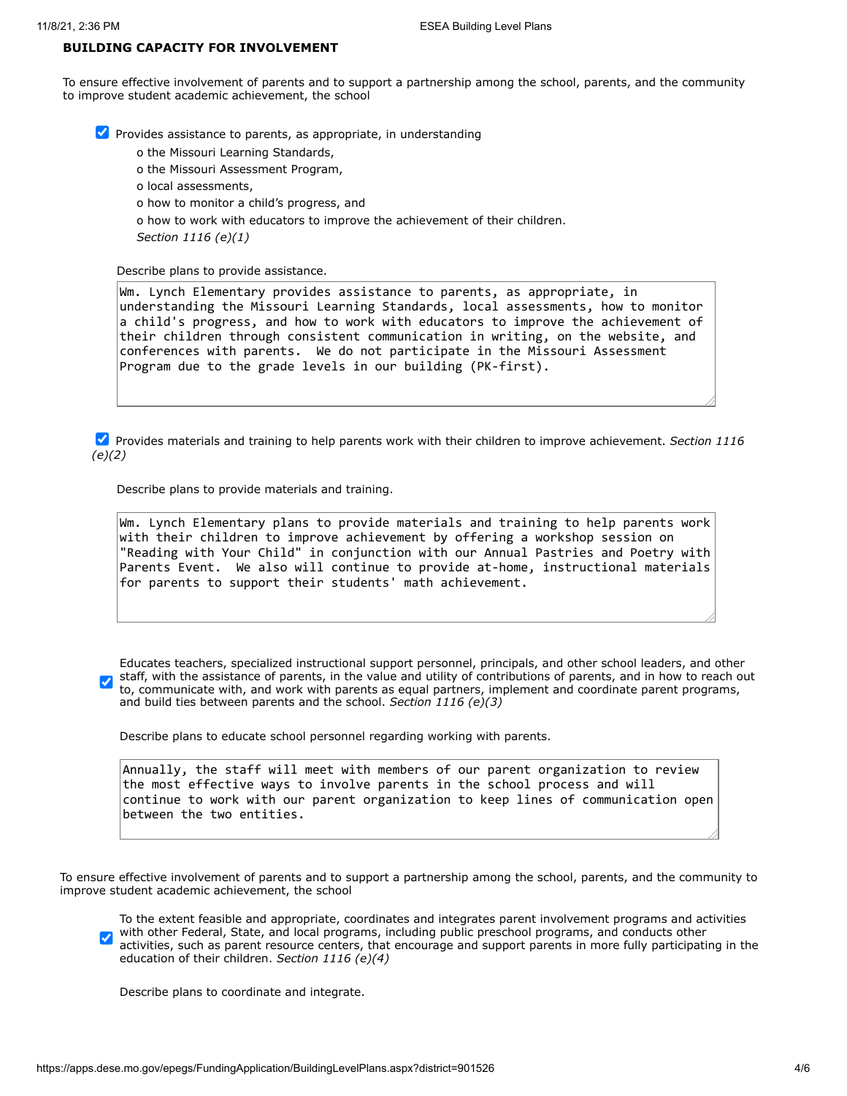### **BUILDING CAPACITY FOR INVOLVEMENT**

To ensure effective involvement of parents and to support a partnership among the school, parents, and the community to improve student academic achievement, the school

Provides assistance to parents, as appropriate, in understanding

o the Missouri Learning Standards,

- o the Missouri Assessment Program,
- o local assessments,

o how to monitor a child's progress, and

o how to work with educators to improve the achievement of their children. *Section 1116 (e)(1)*

Describe plans to provide assistance.

Wm. Lynch Elementary provides assistance to parents, as appropriate, in understanding the Missouri Learning Standards, local assessments, how to monitor a child's progress, and how to work with educators to improve the achievement of their children through consistent communication in writing, on the website, and conferences with parents. We do not participate in the Missouri Assessment Program due to the grade levels in our building (PK-first).

Provides materials and training to help parents work with their children to improve achievement. *Section 1116 (e)(2)*

Describe plans to provide materials and training.

Wm. Lynch Elementary plans to provide materials and training to help parents work with their children to improve achievement by offering a workshop session on "Reading with Your Child" in conjunction with our Annual Pastries and Poetry with Parents Event. We also will continue to provide at-home, instructional materials for parents to support their students' math achievement.

Educates teachers, specialized instructional support personnel, principals, and other school leaders, and other staff, with the assistance of parents, in the value and utility of contributions of parents, and in how to reach out to, communicate with, and work with parents as equal partners, implement and coordinate parent programs, and build ties between parents and the school. *Section 1116 (e)(3)*

Describe plans to educate school personnel regarding working with parents.

Annually, the staff will meet with members of our parent organization to review the most effective ways to involve parents in the school process and will continue to work with our parent organization to keep lines of communication open between the two entities.

To ensure effective involvement of parents and to support a partnership among the school, parents, and the community to improve student academic achievement, the school

To the extent feasible and appropriate, coordinates and integrates parent involvement programs and activities with other Federal, State, and local programs, including public preschool programs, and conducts other activities, such as parent resource centers, that encourage and support parents in more fully participating in the education of their children. *Section 1116 (e)(4)*

Describe plans to coordinate and integrate.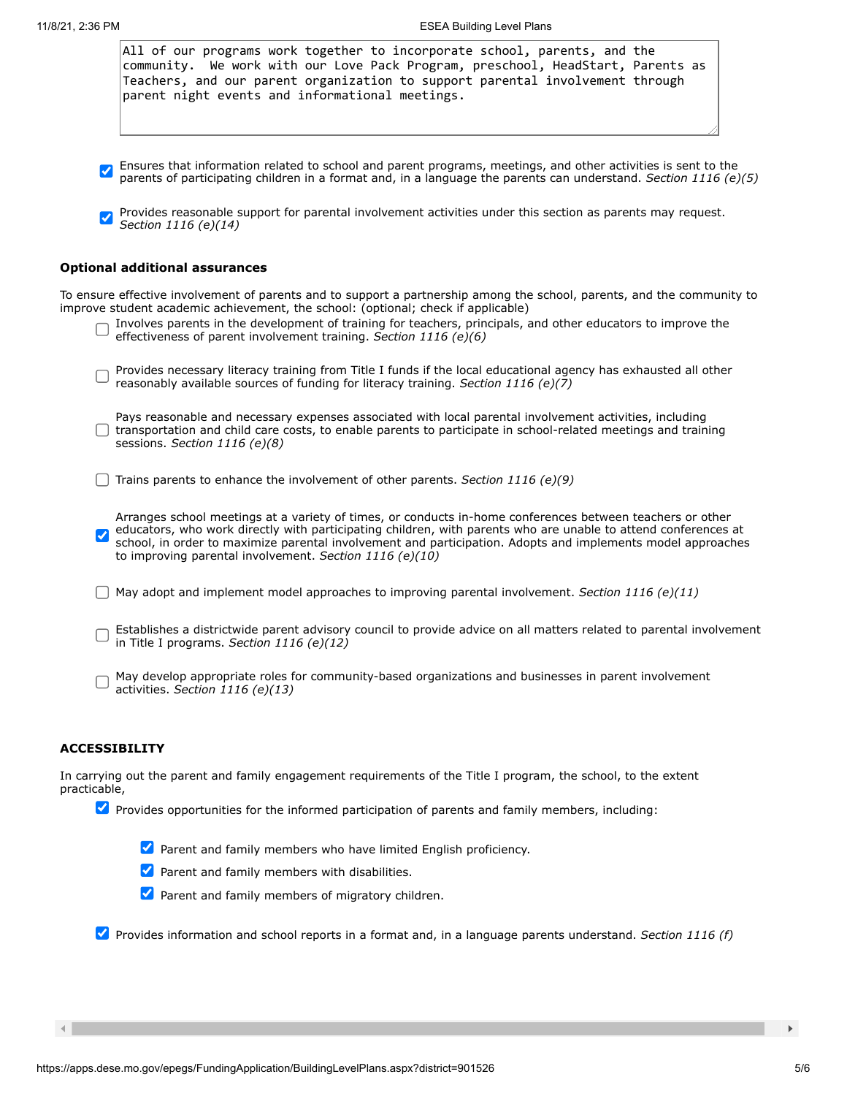| All of our programs work together to incorporate school, parents, and the<br>community. We work with our Love Pack Program, preschool, HeadStart, Parents as<br>Teachers, and our parent organization to support parental involvement through<br>parent night events and informational meetings.                                                                                                      |
|-------------------------------------------------------------------------------------------------------------------------------------------------------------------------------------------------------------------------------------------------------------------------------------------------------------------------------------------------------------------------------------------------------|
| Ensures that information related to school and parent programs, meetings, and other activities is sent to the<br>parents of participating children in a format and, in a language the parents can understand. Section 1116 (e)(5)                                                                                                                                                                     |
| Provides reasonable support for parental involvement activities under this section as parents may request.<br>Section 1116 (e)(14)                                                                                                                                                                                                                                                                    |
| <b>Optional additional assurances</b>                                                                                                                                                                                                                                                                                                                                                                 |
| To ensure effective involvement of parents and to support a partnership among the school, parents, and the community to<br>improve student academic achievement, the school: (optional; check if applicable)<br>Involves parents in the development of training for teachers, principals, and other educators to improve the<br>effectiveness of parent involvement training. Section 1116 (e)(6)     |
| Provides necessary literacy training from Title I funds if the local educational agency has exhausted all other<br>reasonably available sources of funding for literacy training. Section 1116 (e)(7)                                                                                                                                                                                                 |
| Pays reasonable and necessary expenses associated with local parental involvement activities, including<br>transportation and child care costs, to enable parents to participate in school-related meetings and training<br>sessions. Section 1116 (e)(8)                                                                                                                                             |
| Trains parents to enhance the involvement of other parents. Section 1116 (e)(9)                                                                                                                                                                                                                                                                                                                       |
| Arranges school meetings at a variety of times, or conducts in-home conferences between teachers or other<br>educators, who work directly with participating children, with parents who are unable to attend conferences at<br>school, in order to maximize parental involvement and participation. Adopts and implements model approaches<br>to improving parental involvement. Section 1116 (e)(10) |
| May adopt and implement model approaches to improving parental involvement. Section 1116 (e)(11)                                                                                                                                                                                                                                                                                                      |
| Establishes a districtwide parent advisory council to provide advice on all matters related to parental involvement<br>in Title I programs. Section 1116 (e)(12)                                                                                                                                                                                                                                      |

May develop appropriate roles for community-based organizations and businesses in parent involvement activities. *Section 1116 (e)(13)*

## **ACCESSIBILITY**

In carrying out the parent and family engagement requirements of the Title I program, the school, to the extent practicable,

**Provides opportunities for the informed participation of parents and family members, including:** 

- Parent and family members who have limited English proficiency.
- **Parent and family members with disabilities.**
- **Parent and family members of migratory children.**

Provides information and school reports in a format and, in a language parents understand. *Section 1116 (f)*